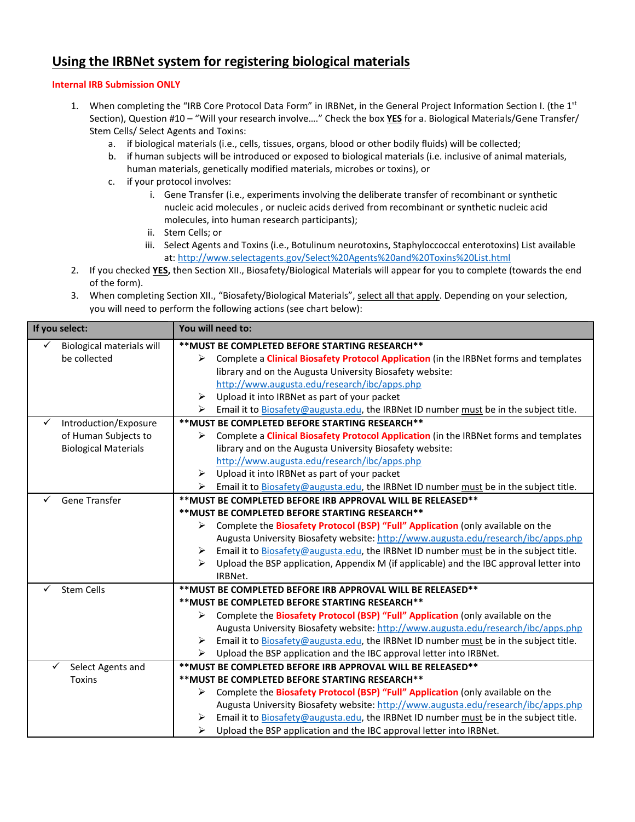# **Using the IRBNet system for registering biological materials**

## **Internal IRB Submission ONLY**

- 1. When completing the "IRB Core Protocol Data Form" in IRBNet, in the General Project Information Section I. (the 1<sup>st</sup> Section), Question #10 – "Will your research involve…." Check the box **YES** for a. Biological Materials/Gene Transfer/ Stem Cells/ Select Agents and Toxins:
	- a. if biological materials (i.e., cells, tissues, organs, blood or other bodily fluids) will be collected;
	- b. if human subjects will be introduced or exposed to biological materials (i.e. inclusive of animal materials, human materials, genetically modified materials, microbes or toxins), or
	- c. if your protocol involves:
		- i. Gene Transfer (i.e., experiments involving the deliberate transfer of recombinant or synthetic nucleic acid molecules , or nucleic acids derived from recombinant or synthetic nucleic acid molecules, into human research participants);
		- ii. Stem Cells; or
		- iii. Select Agents and Toxins (i.e., Botulinum neurotoxins, Staphyloccoccal enterotoxins) List available at[: http://www.selectagents.gov/Select%20Agents%20and%20Toxins%20List.html](http://www.selectagents.gov/Select%20Agents%20and%20Toxins%20List.html)
- 2. If you checked **YES,** then Section XII., Biosafety/Biological Materials will appear for you to complete (towards the end of the form).
- 3. When completing Section XII., "Biosafety/Biological Materials", select all that apply. Depending on your selection, you will need to perform the following actions (see chart below):

| If you select:                   | You will need to:                                                                                       |  |  |
|----------------------------------|---------------------------------------------------------------------------------------------------------|--|--|
| <b>Biological materials will</b> | ** MUST BE COMPLETED BEFORE STARTING RESEARCH**                                                         |  |  |
| be collected                     | Complete a Clinical Biosafety Protocol Application (in the IRBNet forms and templates<br>⋗              |  |  |
|                                  | library and on the Augusta University Biosafety website:                                                |  |  |
|                                  | http://www.augusta.edu/research/ibc/apps.php                                                            |  |  |
|                                  | Upload it into IRBNet as part of your packet<br>➤                                                       |  |  |
|                                  | Email it to Biosafety@augusta.edu, the IRBNet ID number must be in the subject title.<br>➤              |  |  |
| Introduction/Exposure<br>✓       | ** MUST BE COMPLETED BEFORE STARTING RESEARCH**                                                         |  |  |
| of Human Subjects to             | Complete a Clinical Biosafety Protocol Application (in the IRBNet forms and templates<br>➤              |  |  |
| <b>Biological Materials</b>      | library and on the Augusta University Biosafety website:                                                |  |  |
|                                  | http://www.augusta.edu/research/ibc/apps.php                                                            |  |  |
|                                  | Upload it into IRBNet as part of your packet<br>➤                                                       |  |  |
|                                  | Email it to Biosafety@augusta.edu, the IRBNet ID number must be in the subject title.<br>≻              |  |  |
| Gene Transfer                    | ** MUST BE COMPLETED BEFORE IRB APPROVAL WILL BE RELEASED**                                             |  |  |
|                                  | ** MUST BE COMPLETED BEFORE STARTING RESEARCH**                                                         |  |  |
|                                  | Complete the Biosafety Protocol (BSP) "Full" Application (only available on the                         |  |  |
|                                  | Augusta University Biosafety website: http://www.augusta.edu/research/ibc/apps.php                      |  |  |
|                                  | Email it to Biosafety@augusta.edu, the IRBNet ID number must be in the subject title.<br>➤              |  |  |
|                                  | Upload the BSP application, Appendix M (if applicable) and the IBC approval letter into<br>↘<br>IRBNet. |  |  |
| <b>Stem Cells</b>                | ** MUST BE COMPLETED BEFORE IRB APPROVAL WILL BE RELEASED**                                             |  |  |
|                                  | ** MUST BE COMPLETED BEFORE STARTING RESEARCH**                                                         |  |  |
|                                  | Complete the Biosafety Protocol (BSP) "Full" Application (only available on the                         |  |  |
|                                  | Augusta University Biosafety website: http://www.augusta.edu/research/ibc/apps.php                      |  |  |
|                                  | Email it to Biosafety@augusta.edu, the IRBNet ID number must be in the subject title.<br>≻              |  |  |
|                                  | ➤<br>Upload the BSP application and the IBC approval letter into IRBNet.                                |  |  |
| ✓<br>Select Agents and           | ** MUST BE COMPLETED BEFORE IRB APPROVAL WILL BE RELEASED**                                             |  |  |
| <b>Toxins</b>                    | ** MUST BE COMPLETED BEFORE STARTING RESEARCH**                                                         |  |  |
|                                  | Complete the Biosafety Protocol (BSP) "Full" Application (only available on the                         |  |  |
|                                  | Augusta University Biosafety website: http://www.augusta.edu/research/ibc/apps.php                      |  |  |
|                                  | Email it to Biosafety@augusta.edu, the IRBNet ID number must be in the subject title.<br>≻              |  |  |
|                                  | ➤<br>Upload the BSP application and the IBC approval letter into IRBNet.                                |  |  |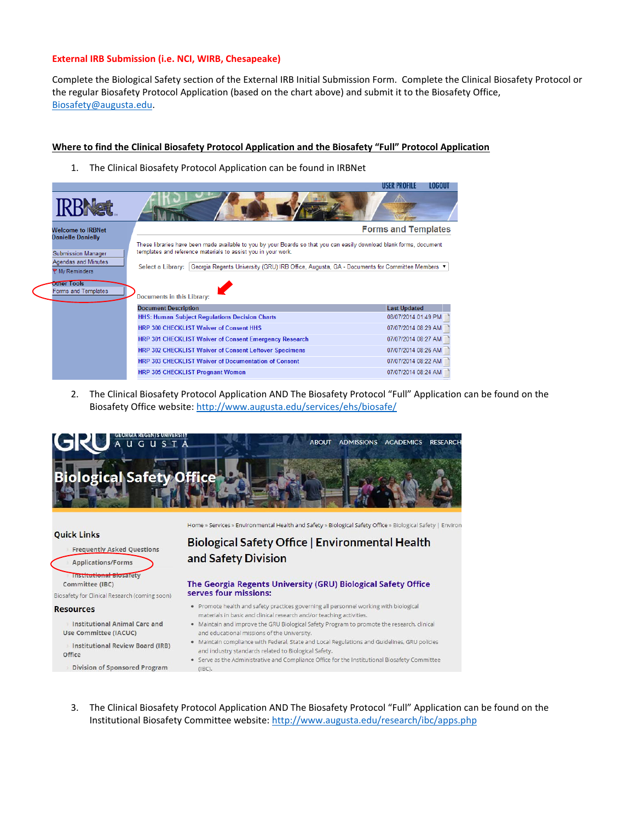### **External IRB Submission (i.e. NCI, WIRB, Chesapeake)**

Complete the Biological Safety section of the External IRB Initial Submission Form. Complete the Clinical Biosafety Protocol or the regular Biosafety Protocol Application (based on the chart above) and submit it to the Biosafety Office, [Biosafety@augusta.edu.](mailto:Biosafety@augusta.edu)

**TOCONL** 

### **Where to find the Clinical Biosafety Protocol Application and the Biosafety "Full" Protocol Application**

1. The Clinical Biosafety Protocol Application can be found in IRBNet **USER PROFILE** 



2. The Clinical Biosafety Protocol Application AND The Biosafety Protocol "Full" Application can be found on the Biosafety Office website[: http://www.augusta.edu/services/ehs/biosafe/](http://www.augusta.edu/services/ehs/biosafe/)



#### **Quick Links**

**Frequently Asked Questions** 

**Applications/Forms** 

**Institutional Biosafety** Committee (IBC)

Biosafety for Clinical Research (coming soon)

#### **Resources**

- **Institutional Animal Care and** Use Committee (IACUC)
- **Institutional Review Board (IRB)** Office
- **Division of Sponsored Program**

Home » Services » Environmental Health and Safety » Biological Safety Office » Biological Safety | Environ

## Biological Safety Office | Environmental Health and Safety Division

#### The Georgia Regents University (GRU) Biological Safety Office serves four missions:

- · Promote health and safety practices governing all personnel working with biological materials in basic and clinical research and/or teaching activities.
- · Maintain and improve the GRU Biological Safety Program to promote the research, clinical and educational missions of the University.
- . Maintain compliance with Federal, State and Local Regulations and Guidelines, GRU policies and industry standards related to Biological Safety.
- . Serve as the Administrative and Compliance Office for the Institutional Biosafety Committee  $(IBC)$
- 3. The Clinical Biosafety Protocol Application AND The Biosafety Protocol "Full" Application can be found on the Institutional Biosafety Committee website[: http://www.augusta.edu/research/ibc/apps.php](http://www.augusta.edu/research/ibc/apps.php)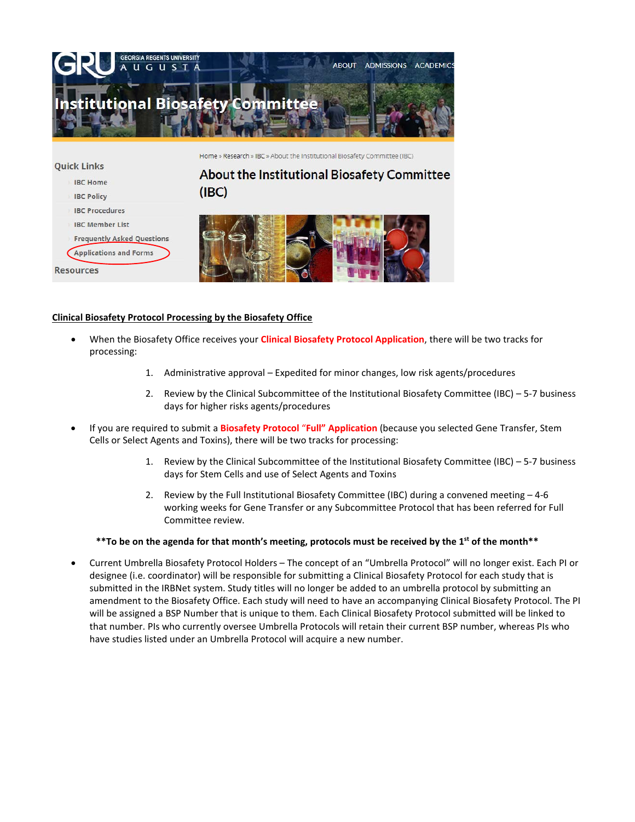

Home » Research » IBC » About the Institutional Biosafety Committee (IBC)

#### **Quick Links**

- **IBC Home**
- **IBC Policy**
- **IBC Procedures**
- **IBC Member List**

**Frequently Asked Questions** 

**Applications and Forms** 

**Resources** 

# About the Institutional Biosafety Committee  $(IBC)$



## **Clinical Biosafety Protocol Processing by the Biosafety Office**

- When the Biosafety Office receives your **Clinical Biosafety Protocol Application**, there will be two tracks for processing:
	- 1. Administrative approval Expedited for minor changes, low risk agents/procedures
	- 2. Review by the Clinical Subcommittee of the Institutional Biosafety Committee (IBC) 5-7 business days for higher risks agents/procedures
- If you are required to submit a **Biosafety Protocol** "**Full" Application** (because you selected Gene Transfer, Stem Cells or Select Agents and Toxins), there will be two tracks for processing:
	- 1. Review by the Clinical Subcommittee of the Institutional Biosafety Committee (IBC) 5-7 business days for Stem Cells and use of Select Agents and Toxins
	- 2. Review by the Full Institutional Biosafety Committee (IBC) during a convened meeting 4-6 working weeks for Gene Transfer or any Subcommittee Protocol that has been referred for Full Committee review.

## **\*\*To be on the agenda for that month's meeting, protocols must be received by the 1st of the month\*\***

• Current Umbrella Biosafety Protocol Holders – The concept of an "Umbrella Protocol" will no longer exist. Each PI or designee (i.e. coordinator) will be responsible for submitting a Clinical Biosafety Protocol for each study that is submitted in the IRBNet system. Study titles will no longer be added to an umbrella protocol by submitting an amendment to the Biosafety Office. Each study will need to have an accompanying Clinical Biosafety Protocol. The PI will be assigned a BSP Number that is unique to them. Each Clinical Biosafety Protocol submitted will be linked to that number. PIs who currently oversee Umbrella Protocols will retain their current BSP number, whereas PIs who have studies listed under an Umbrella Protocol will acquire a new number.